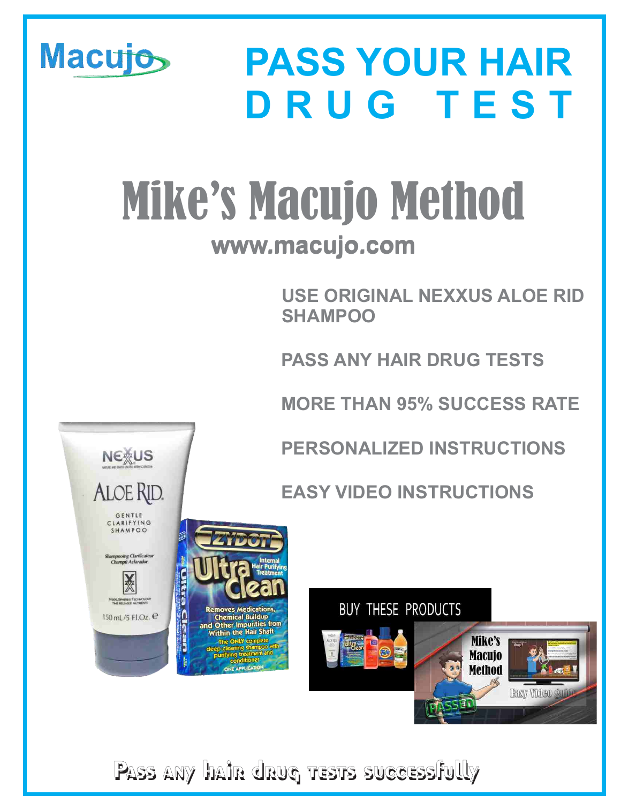

**Pass any hair drug tests successfully**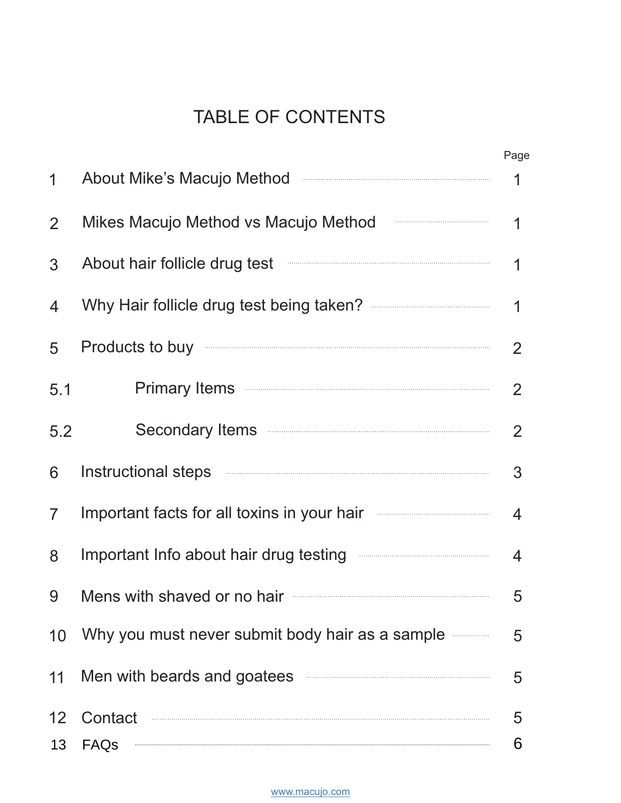# TABLE OF CONTENTS

|                |                                                                                                                                                                                                                                      | Page           |
|----------------|--------------------------------------------------------------------------------------------------------------------------------------------------------------------------------------------------------------------------------------|----------------|
| 1              | About Mike's Macujo Method <b>Maculan About Mike's</b> Macujo Method                                                                                                                                                                 | 1              |
| $\overline{2}$ | Mikes Macujo Method vs Macujo Method                                                                                                                                                                                                 | 1              |
| 3              | About hair follicle drug test <b>with the contract of the contract of the contract of the contract of the contract of the contract of the contract of the contract of the contract of the contract of the contract of the contra</b> | 1              |
| 4              | Why Hair follicle drug test being taken? <b>Allocate and the Control Control Control</b>                                                                                                                                             | 1              |
| 5              | Products to buy <b>contract to the contract of the contract of the contract of the contract of the contract of the contract of the contract of the contract of the contract of the contract of the contract of the contract of t</b> | 2              |
| 5.1            | Primary Items <b>Executive Structure Primary Items</b>                                                                                                                                                                               | 2              |
| 5.2            | Secondary Items <b>Example 2018</b> 2014 2015                                                                                                                                                                                        | 2              |
| 6              | Instructional steps <b>with the contract of the contract of the contract of the contract of the contract of the contract of the contract of the contract of the contract of the contract of the contract of the contract of the </b> | 3              |
| $\overline{7}$ | Important facts for all toxins in your hair                                                                                                                                                                                          | $\overline{4}$ |
| 8              | Important Info about hair drug testing <b>with an example of the contract of the contract of the contract of the contract of the contract of the contract of the contract of the contract of the contract of the contract of the</b> | 4              |
| 9              | Mens with shaved or no hair <b>Constanting the State of August</b> Mens with shaved or no hair                                                                                                                                       | 5              |
| 10             | Why you must never submit body hair as a sample                                                                                                                                                                                      | 5              |
| 11             | Men with beards and goatees <b>Exercise and Service and Service Service and Service Service Service Service Service Service Service Service Service Service Service Service Service Service Service Service Service Service Serv</b> | 5              |
| 12             | Contact                                                                                                                                                                                                                              | 5              |
| 13             | FAQs                                                                                                                                                                                                                                 | 6              |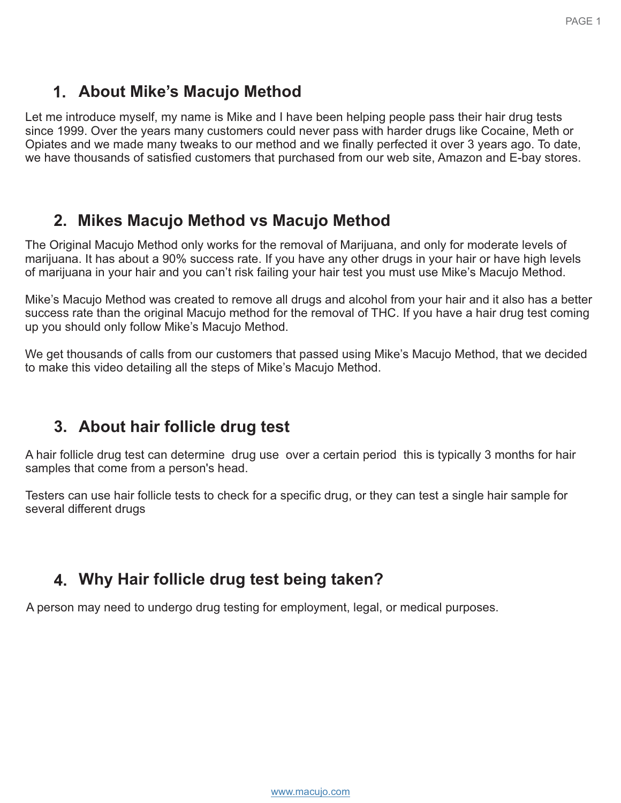## <span id="page-2-1"></span><span id="page-2-0"></span>**1. About Mike's Macujo Method**

Let me introduce myself, my name is Mike and I have been helping people pass their hair drug tests since 1999. Over the years many customers could never pass with harder drugs like Cocaine, Meth or Opiates and we made many tweaks to our method and we finally perfected it over 3 years ago. To date, we have thousands of satisfied customers that purchased from our web site, Amazon and E-bay stores.

## **2. Mikes Macujo Method vs Macujo Method**

The Original Macujo Method only works for the removal of Marijuana, and only for moderate levels of marijuana. It has about a 90% success rate. If you have any other drugs in your hair or have high levels of marijuana in your hair and you can't risk failing your hair test you must use Mike's Macujo Method.

Mike's Macujo Method was created to remove all drugs and alcohol from your hair and it also has a better success rate than the original Macujo method for the removal of THC. If you have a hair drug test coming up you should only follow Mike's Macujo Method.

We get thousands of calls from our customers that passed using Mike's Macujo Method, that we decided to make this video detailing all the steps of Mike's Macujo Method.

## **3. About hair follicle drug test**

A hair follicle drug test can determine drug use over a certain period this is typically 3 months for hair samples that come from a person's head.

Testers can use hair follicle tests to check for a specific drug, or they can test a single hair sample for several different drugs

## **4. Why Hair follicle drug test being taken?**

A person may need to undergo drug testing for employment, legal, or medical purposes.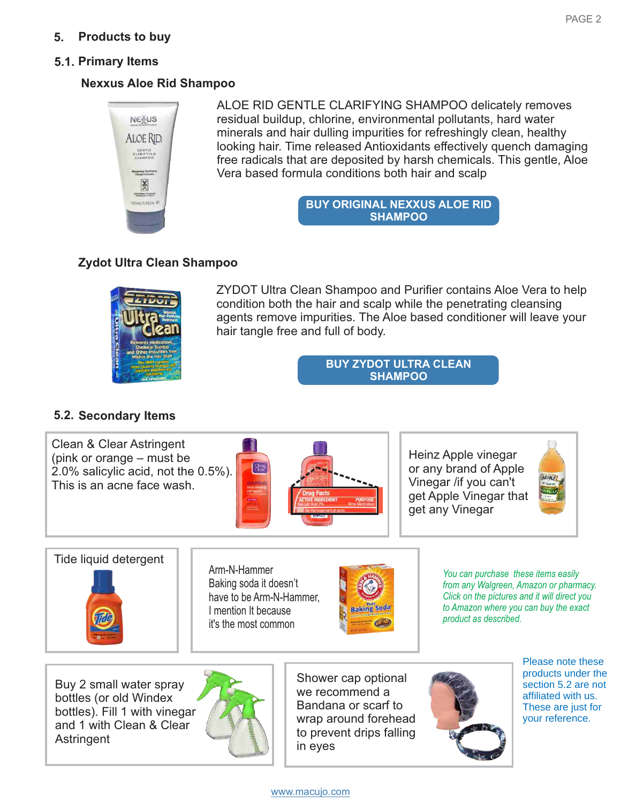## <span id="page-3-0"></span>**5. Products to buy**

## <span id="page-3-1"></span>**5.1. Primary Items**

## **Nexxus Aloe Rid Shampoo**



ALOE RID GENTLE CLARIFYING SHAMPOO delicately removes residual buildup, chlorine, environmental pollutants, hard water minerals and hair dulling impurities for refreshingly clean, healthy looking hair. Time released Antioxidants effectively quench damaging free radicals that are deposited by harsh chemicals. This gentle, Aloe Vera based formula conditions both hair and scalp

> **[BUY ORIGINAL NEXXUS ALOE RID](https://www.macujo.com/product/aloe-rid-original-formula-very-rare/)  SHAMPOO**

## **Zydot Ultra Clean Shampoo**



ZYDOT Ultra Clean Shampoo and Purifier contains Aloe Vera to help condition both the hair and scalp while the penetrating cleansing agents remove impurities. The Aloe based conditioner will leave your hair tangle free and full of body.

> **[BUY ZYDOT ULTRA CLEAN](https://www.macujo.com/product/zydot-ultra-clean-shampoo/)  SHAMPOO**

## **5.2. Secondary Items**





Arm-N-Hammer Baking soda it doesn't have to be Arm-N-Hammer[,](https://www.amazon.com/Arm-Hammer-Baking-Soda-Lbs/dp/B00HNSJSX2/ref=sr_1_1?crid=3SW6I9HZTFZ7L&keywords=arm%2Bn%2Bhammer%2Bbaking%2Bsoda&qid=1564683323&s=gateway&sprefix=arm%2Bn%2Bhammer%2Bsoda%2Caps%2C135&sr=8-1&th=1)  I mention It because it's the most common



*You can purchase these items easily from any Walgreen, Amazon or pharmacy. Click on the pictures and it will direct you to Amazon where you can buy the exact product as described.*

Buy 2 small water spray bottles (or old Windex bottles). Fill 1 with vinegar and 1 with Clean & Clear **Astringent** 



Shower cap optional we recommend a Bandana or scarf to wrap around forehead to prevent drips falling in eyes



Please note these products under the section 5.2 are not affiliated with us. These are just for your reference.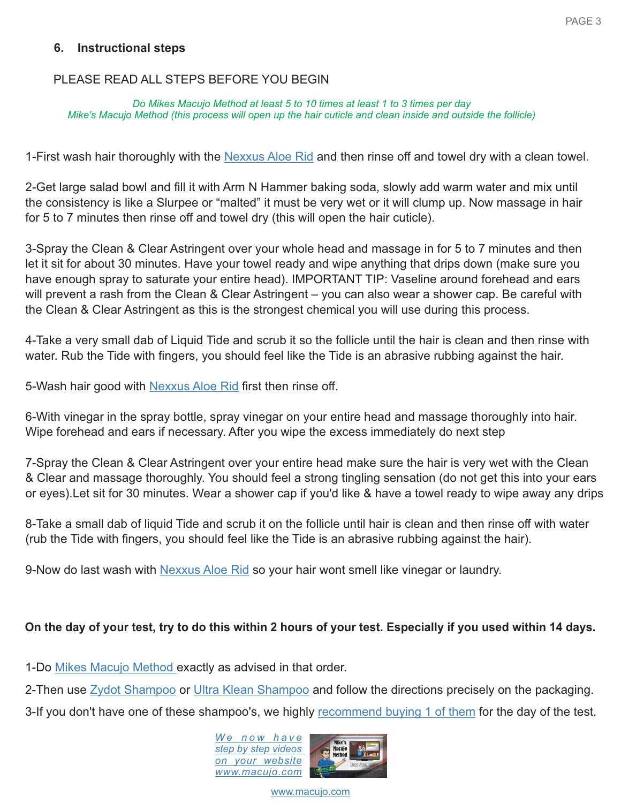## <span id="page-4-0"></span>**6. Instructional steps**

## PLEASE READ ALL STEPS BEFORE YOU BEGIN

*Do Mikes Macujo Method at least 5 to 10 times at least 1 to 3 times per day Mike's Macujo Method (this process will open up the hair cuticle and clean inside and outside the follicle)*

1-First wash hair thoroughly with the [Nexxus Aloe Rid](https://www.macujo.com/product/aloe-rid-zydot-ultra-clean-hair-shampoo/) and then rinse off and towel dry with a clean towel.

2-Get large salad bowl and fill it with Arm N Hammer baking soda, slowly add warm water and mix until the consistency is like a Slurpee or "malted" it must be very wet or it will clump up. Now massage in hair for 5 to 7 minutes then rinse off and towel dry (this will open the hair cuticle).

3-Spray the Clean & Clear Astringent over your whole head and massage in for 5 to 7 minutes and then let it sit for about 30 minutes. Have your towel ready and wipe anything that drips down (make sure you have enough spray to saturate your entire head). IMPORTANT TIP: Vaseline around forehead and ears will prevent a rash from the Clean & Clear Astringent – you can also wear a shower cap. Be careful with the Clean & Clear Astringent as this is the strongest chemical you will use during this process.

4-Take a very small dab of Liquid Tide and scrub it so the follicle until the hair is clean and then rinse with water. Rub the Tide with fingers, you should feel like the Tide is an abrasive rubbing against the hair.

5-Wash hair good with [Nexxus Aloe Rid fi](https://www.macujo.com/product/aloe-rid-zydot-ultra-clean-hair-shampoo/)rst then rinse off.

6-With vinegar in the spray bottle, spray vinegar on your entire head and massage thoroughly into hair. Wipe forehead and ears if necessary. After you wipe the excess immediately do next step

7-Spray the Clean & Clear Astringent over your entire head make sure the hair is very wet with the Clean & Clear and massage thoroughly. You should feel a strong tingling sensation (do not get this into your ears or eyes).Let sit for 30 minutes. Wear a shower cap if you'd like & have a towel ready to wipe away any drips

8-Take a small dab of liquid Tide and scrub it on the follicle until hair is clean and then rinse off with water (rub the Tide with fingers, you should feel like the Tide is an abrasive rubbing against the hair).

9-Now do last wash with [Nexxus Aloe Rid](https://www.macujo.com/product/aloe-rid-zydot-ultra-clean-hair-shampoo/) so your hair wont smell like vinegar or laundry.

## **On the day of your test, try to do this within 2 hours of your test. Especially if you used within 14 days.**

1-Do [Mikes Macujo Method e](https://www.macujo.com/mikes-macujo-method/)xactly as advised in that order.

2-Then use Zydot Shampoo or Ultra Klean Shampoo and follow the directions precisely on the packaging.

3-If you don't have one of these shampoo's, we highly recommend buying 1 of them for the day of the test.

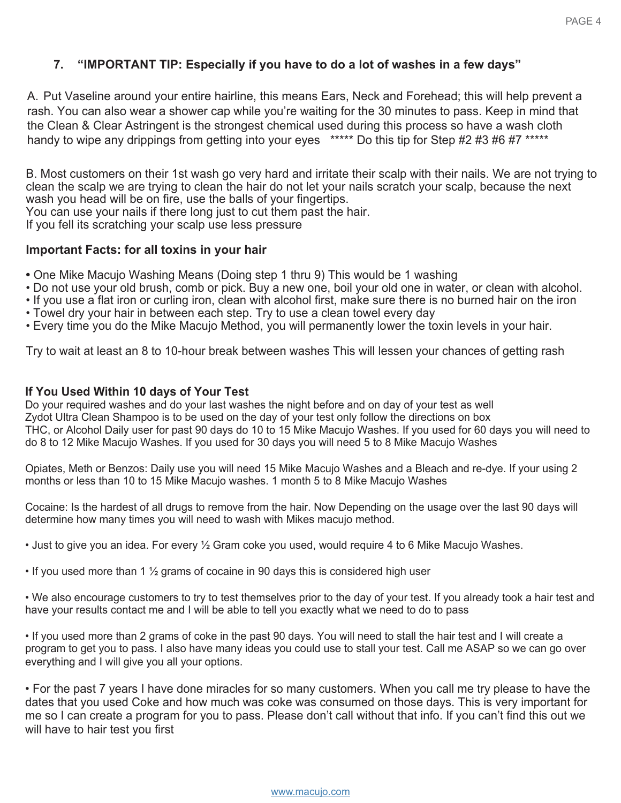## <span id="page-5-0"></span>**7. "IMPORTANT TIP: Especially if you have to do a lot of washes in a few days"**

A. Put Vaseline around your entire hairline, this means Ears, Neck and Forehead; this will help prevent a rash. You can also wear a shower cap while you're waiting for the 30 minutes to pass. Keep in mind that the Clean & Clear Astringent is the strongest chemical used during this process so have a wash cloth handy to wipe any drippings from getting into your eyes \*\*\*\*\* Do this tip for Step #2 #3 #6 #7 \*\*\*\*\*

<span id="page-5-1"></span>B. Most customers on their 1st wash go very hard and irritate their scalp with their nails. We are not trying to clean the scalp we are trying to clean the hair do not let your nails scratch your scalp, because the next wash you head will be on fire, use the balls of your fingertips. You can use your nails if there long just to cut them past the hair. If you fell its scratching your scalp use less pressure

#### **Important Facts: for all toxins in your hair**

- One Mike Macujo Washing Means (Doing step 1 thru 9) This would be 1 washing
- Do not use your old brush, comb or pick. Buy a new one, boil your old one in water, or clean with alcohol.
- If you use a flat iron or curling iron, clean with alcohol first, make sure there is no burned hair on the iron
- Towel dry your hair in between each step. Try to use a clean towel every day
- Every time you do the Mike Macujo Method, you will permanently lower the toxin levels in your hair.

Try to wait at least an 8 to 10-hour break between washes This will lessen your chances of getting rash

#### **If You Used Within 10 days of Your Test**

Do your required washes and do your last washes the night before and on day of your test as well Zydot Ultra Clean Shampoo is to be used on the day of your test only follow the directions on box THC, or Alcohol Daily user for past 90 days do 10 to 15 Mike Macujo Washes. If you used for 60 days you will need to do 8 to 12 Mike Macujo Washes. If you used for 30 days you will need 5 to 8 Mike Macujo Washes

Opiates, Meth or Benzos: Daily use you will need 15 Mike Macujo Washes and a Bleach and re-dye. If your using 2 months or less than 10 to 15 Mike Macujo washes. 1 month 5 to 8 Mike Macujo Washes

Cocaine: Is the hardest of all drugs to remove from the hair. Now Depending on the usage over the last 90 days will determine how many times you will need to wash with Mikes macujo method.

• Just to give you an idea. For every ½ Gram coke you used, would require 4 to 6 Mike Macujo Washes.

• If you used more than 1  $\frac{1}{2}$  grams of cocaine in 90 days this is considered high user

• We also encourage customers to try to test themselves prior to the day of your test. If you already took a hair test and have your results contact me and I will be able to tell you exactly what we need to do to pass

• If you used more than 2 grams of coke in the past 90 days. You will need to stall the hair test and I will create a program to get you to pass. I also have many ideas you could use to stall your test. Call me ASAP so we can go over everything and I will give you all your options.

• For the past 7 years I have done miracles for so many customers. When you call me try please to have the dates that you used Coke and how much was coke was consumed on those days. This is very important for me so I can create a program for you to pass. Please don't call without that info. If you can't find this out we will have to hair test you first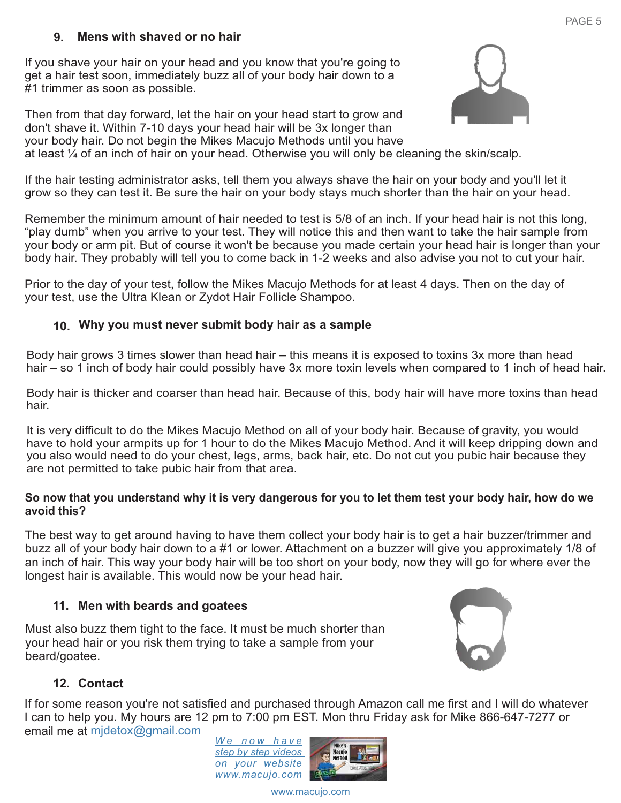## **9. Mens with shaved or no hair**

<span id="page-6-0"></span>If you shave your hair on your head and you know that you're going to get a hair test soon, immediately buzz all of your body hair down to a #1 trimmer as soon as possible.

<span id="page-6-1"></span>Then from that day forward, let the hair on your head start to grow and don't shave it. Within 7-10 days your head hair will be 3x longer than your body hair. Do not begin the Mikes Macujo Methods until you have at least ¼ of an inch of hair on your head. Otherwise you will only be cleaning the skin/scalp.



If the hair testing administrator asks, tell them you always shave the hair on your body and you'll let it grow so they can test it. Be sure the hair on your body stays much shorter than the hair on your head.

Remember the minimum amount of hair needed to test is 5/8 of an inch. If your head hair is not this long, "play dumb" when you arrive to your test. They will notice this and then want to take the hair sample from your body or arm pit. But of course it won't be because you made certain your head hair is longer than your body hair. They probably will tell you to come back in 1-2 weeks and also advise you not to cut your hair.

Prior to the day of your test, follow the Mikes Macujo Methods for at least 4 days. Then on the day of your test, use the Ultra Klean or Zydot Hair Follicle Shampoo.

## **10. Why you must never submit body hair as a sample**

Body hair grows 3 times slower than head hair – this means it is exposed to toxins 3x more than head hair – so 1 inch of body hair could possibly have 3x more toxin levels when compared to 1 inch of head hair.

Body hair is thicker and coarser than head hair. Because of this, body hair will have more toxins than head hair.

It is very difficult to do the Mikes Macujo Method on all of your body hair. Because of gravity, you would have to hold your armpits up for 1 hour to do the Mikes Macujo Method. And it will keep dripping down and you also would need to do your chest, legs, arms, back hair, etc. Do not cut you pubic hair because they are not permitted to take pubic hair from that area.

## **So now that you understand why it is very dangerous for you to let them test your body hair, how do we avoid this?**

The best way to get around having to have them collect your body hair is to get a hair buzzer/trimmer and buzz all of your body hair down to a #1 or lower. Attachment on a buzzer will give you approximately 1/8 of an inch of hair. This way your body hair will be too short on your body, now they will go for where ever the longest hair is available. This would now be your head hair.

## **11. Men with beards and goatees**

Must also buzz them tight to the face. It must be much shorter than your head hair or you risk them trying to take a sample from your beard/goatee.



## **12. Contact**

If for some reason you're not satisfied and purchased through Amazon call me first and I will do whatever I can to help you. My hours are 12 pm to 7:00 pm EST. Mon thru Friday ask for Mike 866-647-7277 or email me at mjdetox@gmail.com